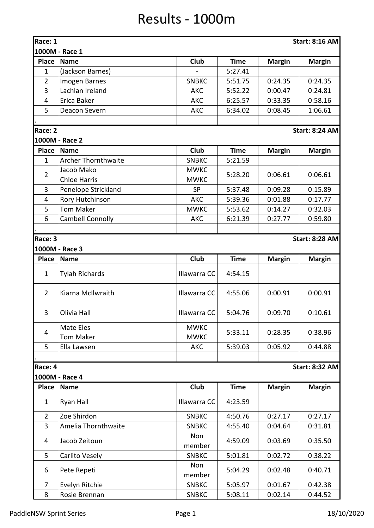## Results - 1000m

| Race: 1        |                            |               |             |               | <b>Start: 8:16 AM</b> |
|----------------|----------------------------|---------------|-------------|---------------|-----------------------|
|                | 1000M - Race 1             |               |             |               |                       |
| <b>Place</b>   | <b>Name</b>                | <b>Club</b>   | <b>Time</b> | <b>Margin</b> | <b>Margin</b>         |
| $\mathbf{1}$   | (Jackson Barnes)           |               | 5:27.41     |               |                       |
| $\overline{2}$ | Imogen Barnes              | <b>SNBKC</b>  | 5:51.75     | 0:24.35       | 0:24.35               |
| 3              | Lachlan Ireland            | <b>AKC</b>    | 5:52.22     | 0:00.47       | 0:24.81               |
| $\overline{4}$ | Erica Baker                | AKC           | 6:25.57     | 0:33.35       | 0:58.16               |
| 5              | Deacon Severn              | <b>AKC</b>    | 6:34.02     | 0:08.45       | 1:06.61               |
|                |                            |               |             |               |                       |
| Race: 2        |                            |               |             |               | <b>Start: 8:24 AM</b> |
|                | 1000M - Race 2             |               |             |               |                       |
| <b>Place</b>   | <b>Name</b>                | <b>Club</b>   | <b>Time</b> | <b>Margin</b> | <b>Margin</b>         |
| $\mathbf{1}$   | <b>Archer Thornthwaite</b> | <b>SNBKC</b>  | 5:21.59     |               |                       |
|                | Jacob Mako                 | <b>MWKC</b>   | 5:28.20     | 0:06.61       |                       |
| $\overline{2}$ | <b>Chloe Harris</b>        | <b>MWKC</b>   |             |               | 0:06.61               |
| 3              | Penelope Strickland        | <b>SP</b>     | 5:37.48     | 0:09.28       | 0:15.89               |
| $\overline{4}$ | Rory Hutchinson            | AKC           | 5:39.36     | 0:01.88       | 0:17.77               |
| 5              | <b>Tom Maker</b>           | <b>MWKC</b>   | 5:53.62     | 0:14.27       | 0:32.03               |
| 6              | <b>Cambell Connolly</b>    | <b>AKC</b>    | 6:21.39     | 0:27.77       | 0:59.80               |
|                |                            |               |             |               |                       |
| Race: 3        |                            |               |             |               | <b>Start: 8:28 AM</b> |
|                | 1000M - Race 3             |               |             |               |                       |
| <b>Place</b>   | <b>Name</b>                | Club          | <b>Time</b> | <b>Margin</b> | <b>Margin</b>         |
| $\mathbf{1}$   | <b>Tylah Richards</b>      | Illawarra CC  | 4:54.15     |               |                       |
| $\overline{2}$ | Kiarna McIlwraith          | Illawarra CC  | 4:55.06     | 0:00.91       | 0:00.91               |
| 3              | Olivia Hall                | Illawarra CC  | 5:04.76     | 0:09.70       | 0:10.61               |
| 4              | <b>Mate Eles</b>           | <b>MWKC</b>   | 5:33.11     | 0:28.35       | 0:38.96               |
|                | <b>Tom Maker</b>           | <b>MWKC</b>   |             |               |                       |
| 5              | Ella Lawsen                | <b>AKC</b>    | 5:39.03     | 0:05.92       | 0:44.88               |
|                |                            |               |             |               |                       |
| Race: 4        |                            |               |             |               | <b>Start: 8:32 AM</b> |
|                | 1000M - Race 4             |               |             |               |                       |
| <b>Place</b>   | <b>Name</b>                | <b>Club</b>   | <b>Time</b> | <b>Margin</b> | <b>Margin</b>         |
| $\mathbf{1}$   | Ryan Hall                  | Illawarra CC  | 4:23.59     |               |                       |
| $\overline{2}$ | Zoe Shirdon                | <b>SNBKC</b>  | 4:50.76     | 0:27.17       | 0:27.17               |
| 3              | Amelia Thornthwaite        | <b>SNBKC</b>  | 4:55.40     | 0:04.64       | 0:31.81               |
| 4              | Jacob Zeitoun              | Non<br>member | 4:59.09     | 0:03.69       | 0:35.50               |
| 5              | Carlito Vesely             | <b>SNBKC</b>  | 5:01.81     | 0:02.72       | 0:38.22               |
| 6              | Pete Repeti                | Non<br>member | 5:04.29     | 0:02.48       | 0:40.71               |
| $\overline{7}$ | Evelyn Ritchie             | <b>SNBKC</b>  | 5:05.97     | 0:01.67       | 0:42.38               |
| 8              | Rosie Brennan              | <b>SNBKC</b>  | 5:08.11     | 0:02.14       | 0:44.52               |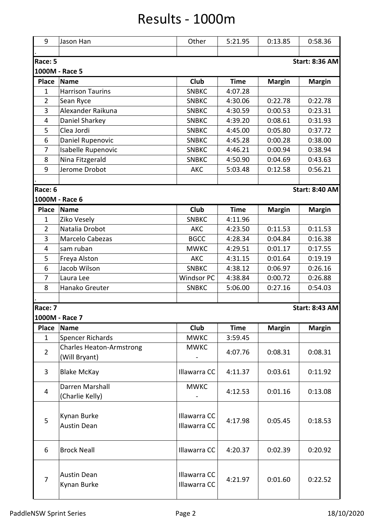## Results - 1000m

| 9                                                  | Jason Han                         | Other                        | 5:21.95     | 0:13.85       | 0:58.36               |  |  |
|----------------------------------------------------|-----------------------------------|------------------------------|-------------|---------------|-----------------------|--|--|
| Race: 5<br><b>Start: 8:36 AM</b><br>1000M - Race 5 |                                   |                              |             |               |                       |  |  |
| <b>Place</b>                                       | <b>Name</b>                       | Club                         |             |               |                       |  |  |
| $\mathbf{1}$                                       | <b>Harrison Taurins</b>           |                              | <b>Time</b> | <b>Margin</b> | <b>Margin</b>         |  |  |
| $\overline{2}$                                     |                                   | <b>SNBKC</b>                 | 4:07.28     |               |                       |  |  |
|                                                    | Sean Ryce                         | <b>SNBKC</b>                 | 4:30.06     | 0:22.78       | 0:22.78               |  |  |
| 3                                                  | Alexander Raikuna                 | <b>SNBKC</b>                 | 4:30.59     | 0:00.53       | 0:23.31               |  |  |
| 4                                                  | Daniel Sharkey                    | <b>SNBKC</b>                 | 4:39.20     | 0:08.61       | 0:31.93               |  |  |
| 5                                                  | Clea Jordi                        | <b>SNBKC</b>                 | 4:45.00     | 0:05.80       | 0:37.72               |  |  |
| 6                                                  | Daniel Rupenovic                  | <b>SNBKC</b>                 | 4:45.28     | 0:00.28       | 0:38.00               |  |  |
| $\overline{7}$                                     | Isabelle Rupenovic                | <b>SNBKC</b>                 | 4:46.21     | 0:00.94       | 0:38.94               |  |  |
| 8                                                  | Nina Fitzgerald                   | <b>SNBKC</b>                 | 4:50.90     | 0:04.69       | 0:43.63               |  |  |
| 9                                                  | Jerome Drobot                     | <b>AKC</b>                   | 5:03.48     | 0:12.58       | 0:56.21               |  |  |
|                                                    |                                   |                              |             |               |                       |  |  |
| Race: 6                                            |                                   |                              |             |               | <b>Start: 8:40 AM</b> |  |  |
|                                                    | 1000M - Race 6                    |                              |             |               |                       |  |  |
| <b>Place</b>                                       | <b>Name</b>                       | Club                         | <b>Time</b> | <b>Margin</b> | <b>Margin</b>         |  |  |
| $\mathbf{1}$                                       | Ziko Vesely                       | <b>SNBKC</b>                 | 4:11.96     |               |                       |  |  |
| $\overline{2}$                                     | Natalia Drobot                    | AKC                          | 4:23.50     | 0:11.53       | 0:11.53               |  |  |
| 3                                                  | Marcelo Cabezas                   | <b>BGCC</b>                  | 4:28.34     | 0:04.84       | 0:16.38               |  |  |
| 4                                                  | sam ruban                         | <b>MWKC</b>                  | 4:29.51     | 0:01.17       | 0:17.55               |  |  |
| 5                                                  | Freya Alston                      | <b>AKC</b>                   | 4:31.15     | 0:01.64       | 0:19.19               |  |  |
| 6                                                  | Jacob Wilson                      | <b>SNBKC</b>                 | 4:38.12     | 0:06.97       | 0:26.16               |  |  |
| $\overline{7}$                                     | Laura Lee                         | <b>Windsor PC</b>            | 4:38.84     | 0:00.72       | 0:26.88               |  |  |
| 8                                                  | Hanako Greuter                    | <b>SNBKC</b>                 | 5:06.00     | 0:27.16       | 0:54.03               |  |  |
|                                                    |                                   |                              |             |               |                       |  |  |
| Race: 7                                            |                                   |                              |             |               | <b>Start: 8:43 AM</b> |  |  |
|                                                    | 1000M - Race 7                    |                              |             |               |                       |  |  |
| <b>Place</b>                                       | <b>Name</b>                       | <b>Club</b>                  | <b>Time</b> | <b>Margin</b> | <b>Margin</b>         |  |  |
| $\mathbf{1}$                                       | <b>Spencer Richards</b>           | <b>MWKC</b>                  | 3:59.45     |               |                       |  |  |
|                                                    | <b>Charles Heaton-Armstrong</b>   | <b>MWKC</b>                  |             |               |                       |  |  |
| $\overline{2}$                                     | (Will Bryant)                     |                              | 4:07.76     | 0:08.31       | 0:08.31               |  |  |
| 3                                                  | <b>Blake McKay</b>                | Illawarra CC                 | 4:11.37     | 0:03.61       | 0:11.92               |  |  |
| $\overline{4}$                                     | Darren Marshall                   | <b>MWKC</b>                  | 4:12.53     | 0:01.16       | 0:13.08               |  |  |
|                                                    | (Charlie Kelly)                   |                              |             |               |                       |  |  |
| 5                                                  | Kynan Burke                       | Illawarra CC                 | 4:17.98     | 0:05.45       | 0:18.53               |  |  |
|                                                    | <b>Austin Dean</b>                | Illawarra CC                 |             |               |                       |  |  |
| 6                                                  | <b>Brock Neall</b>                | Illawarra CC                 | 4:20.37     | 0:02.39       | 0:20.92               |  |  |
| $\overline{7}$                                     | <b>Austin Dean</b><br>Kynan Burke | Illawarra CC<br>Illawarra CC | 4:21.97     | 0:01.60       | 0:22.52               |  |  |